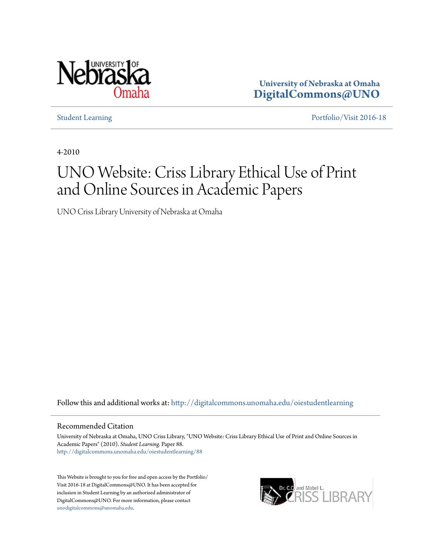

**University of Nebraska at Omaha [DigitalCommons@UNO](http://digitalcommons.unomaha.edu?utm_source=digitalcommons.unomaha.edu%2Foiestudentlearning%2F88&utm_medium=PDF&utm_campaign=PDFCoverPages)**

[Student Learning](http://digitalcommons.unomaha.edu/oiestudentlearning?utm_source=digitalcommons.unomaha.edu%2Foiestudentlearning%2F88&utm_medium=PDF&utm_campaign=PDFCoverPages) [Portfolio/Visit 2016-18](http://digitalcommons.unomaha.edu/oieportfolio?utm_source=digitalcommons.unomaha.edu%2Foiestudentlearning%2F88&utm_medium=PDF&utm_campaign=PDFCoverPages)

4-2010

# UNO Website: Criss Library Ethical Use of Print and Online Sources in Academic Papers

UNO Criss Library University of Nebraska at Omaha

Follow this and additional works at: [http://digitalcommons.unomaha.edu/oiestudentlearning](http://digitalcommons.unomaha.edu/oiestudentlearning?utm_source=digitalcommons.unomaha.edu%2Foiestudentlearning%2F88&utm_medium=PDF&utm_campaign=PDFCoverPages)

#### Recommended Citation

University of Nebraska at Omaha, UNO Criss Library, "UNO Website: Criss Library Ethical Use of Print and Online Sources in Academic Papers" (2010). *Student Learning.* Paper 88. [http://digitalcommons.unomaha.edu/oiestudentlearning/88](http://digitalcommons.unomaha.edu/oiestudentlearning/88?utm_source=digitalcommons.unomaha.edu%2Foiestudentlearning%2F88&utm_medium=PDF&utm_campaign=PDFCoverPages)

This Website is brought to you for free and open access by the Portfolio/ Visit 2016-18 at DigitalCommons@UNO. It has been accepted for inclusion in Student Learning by an authorized administrator of DigitalCommons@UNO. For more information, please contact [unodigitalcommons@unomaha.edu](mailto:unodigitalcommons@unomaha.edu).